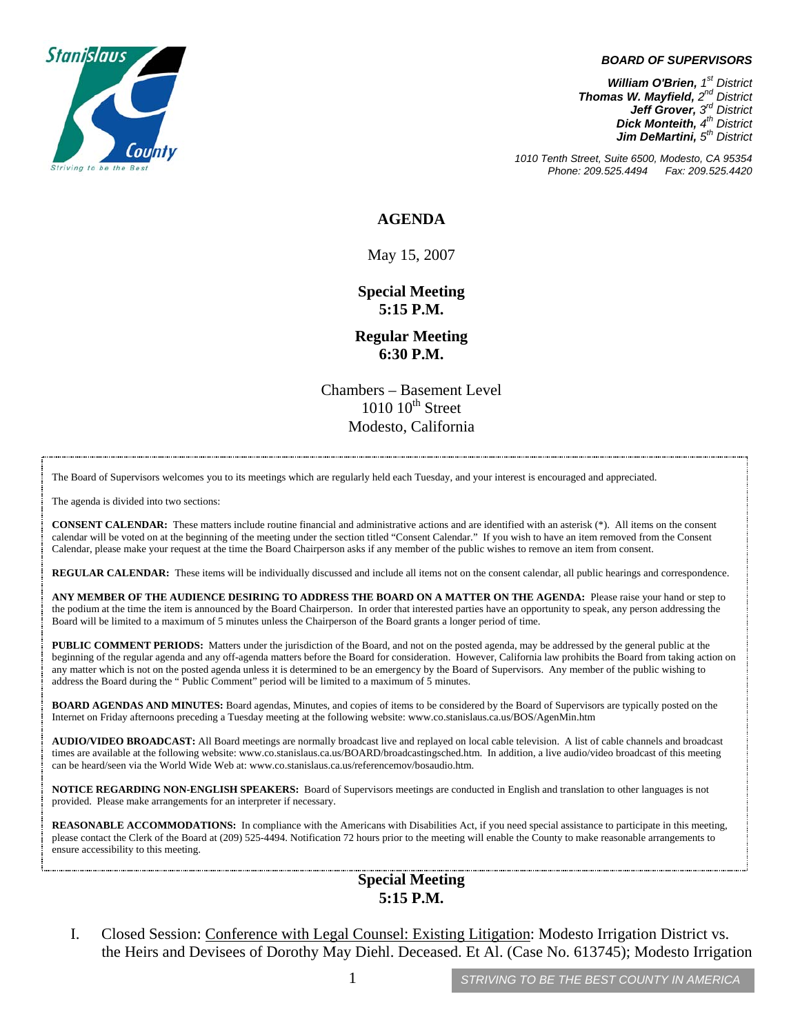

#### *BOARD OF SUPERVISORS*

*William O'Brien, 1<sup>st</sup> District Thomas W. Mayfield, 2nd District Jeff Grover, 3rd District Dick Monteith, 4<sup>th</sup> District Jim DeMartini, 5th District*

*1010 Tenth Street, Suite 6500, Modesto, CA 95354 Phone: 209.525.4494 Fax: 209.525.4420*

#### **AGENDA**

May 15, 2007

**Special Meeting 5:15 P.M.** 

**Regular Meeting 6:30 P.M.**

Chambers – Basement Level  $1010$   $10^{th}$  Street Modesto, California

The Board of Supervisors welcomes you to its meetings which are regularly held each Tuesday, and your interest is encouraged and appreciated.

The agenda is divided into two sections:

**CONSENT CALENDAR:** These matters include routine financial and administrative actions and are identified with an asterisk (\*). All items on the consent calendar will be voted on at the beginning of the meeting under the section titled "Consent Calendar." If you wish to have an item removed from the Consent Calendar, please make your request at the time the Board Chairperson asks if any member of the public wishes to remove an item from consent.

**REGULAR CALENDAR:** These items will be individually discussed and include all items not on the consent calendar, all public hearings and correspondence.

**ANY MEMBER OF THE AUDIENCE DESIRING TO ADDRESS THE BOARD ON A MATTER ON THE AGENDA:** Please raise your hand or step to the podium at the time the item is announced by the Board Chairperson. In order that interested parties have an opportunity to speak, any person addressing the Board will be limited to a maximum of 5 minutes unless the Chairperson of the Board grants a longer period of time.

**PUBLIC COMMENT PERIODS:** Matters under the jurisdiction of the Board, and not on the posted agenda, may be addressed by the general public at the beginning of the regular agenda and any off-agenda matters before the Board for consideration. However, California law prohibits the Board from taking action on any matter which is not on the posted agenda unless it is determined to be an emergency by the Board of Supervisors. Any member of the public wishing to address the Board during the " Public Comment" period will be limited to a maximum of 5 minutes.

**BOARD AGENDAS AND MINUTES:** Board agendas, Minutes, and copies of items to be considered by the Board of Supervisors are typically posted on the Internet on Friday afternoons preceding a Tuesday meeting at the following website: [www.co.stanislaus.ca.us/BOS/AgenMin.htm](http://www.co.stanislaus.ca.us/BOS/AgenMin.htm) 

**AUDIO/VIDEO BROADCAST:** All Board meetings are normally broadcast live and replayed on local cable television. A list of cable channels and broadcast times are available at the following website: [www.co.stanislaus.ca.us/BOARD/broadcastingsched.htm](http://www.co.stanislaus.ca.us/BOARD/broadcastingsched.htm). In addition, a live audio/video broadcast of this meeting can be heard/seen via the World Wide Web at: [www.co.stanislaus.ca.us/referencemov/bosaudio.htm.](http://www.co.stanislaus.ca.us/referencemov/bosaudio.htm)

**NOTICE REGARDING NON-ENGLISH SPEAKERS:** Board of Supervisors meetings are conducted in English and translation to other languages is not provided. Please make arrangements for an interpreter if necessary.

**REASONABLE ACCOMMODATIONS:** In compliance with the Americans with Disabilities Act, if you need special assistance to participate in this meeting, please contact the Clerk of the Board at (209) 525-4494. Notification 72 hours prior to the meeting will enable the County to make reasonable arrangements to ensure accessibility to this meeting.

### **Special Meeting 5:15 P.M.**

I. Closed Session: Conference with Legal Counsel: Existing Litigation: Modesto Irrigation District vs. the Heirs and Devisees of Dorothy May Diehl. Deceased. Et Al. (Case No. 613745); Modesto Irrigation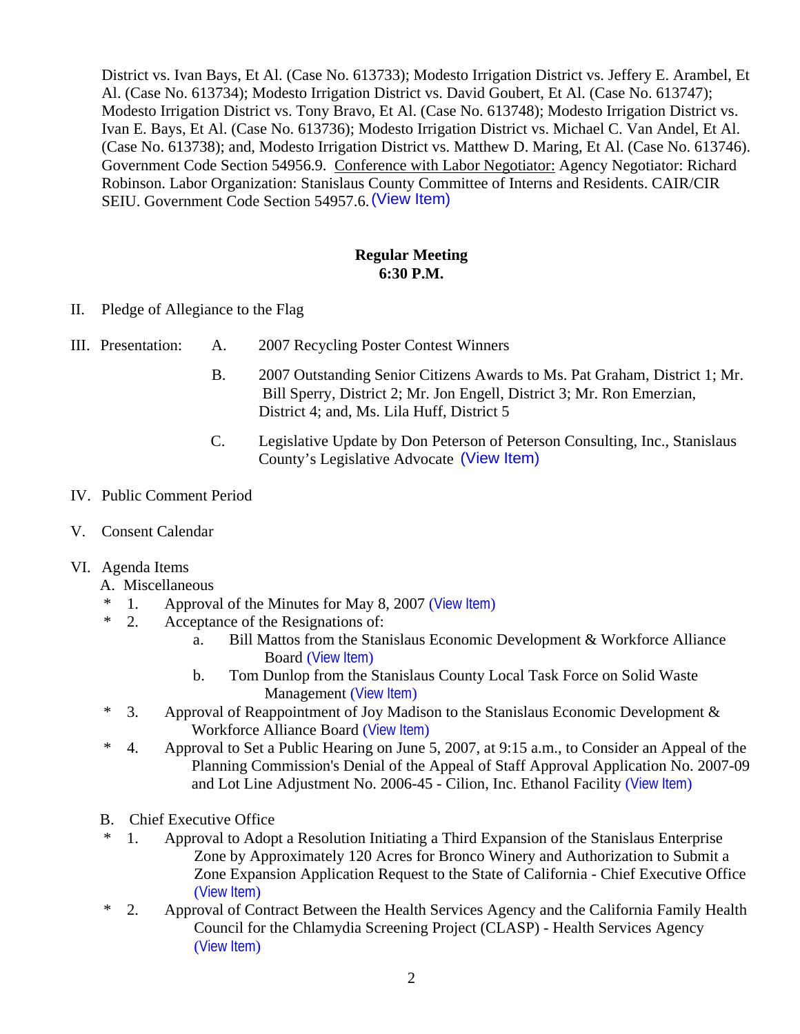District vs. Ivan Bays, Et Al. (Case No. 613733); Modesto Irrigation District vs. Jeffery E. Arambel, Et Al. (Case No. 613734); Modesto Irrigation District vs. David Goubert, Et Al. (Case No. 613747); Modesto Irrigation District vs. Tony Bravo, Et Al. (Case No. 613748); Modesto Irrigation District vs. Ivan E. Bays, Et Al. (Case No. 613736); Modesto Irrigation District vs. Michael C. Van Andel, Et Al. (Case No. 613738); and, Modesto Irrigation District vs. Matthew D. Maring, Et Al. (Case No. 613746). Government Code Section 54956.9. Conference with Labor Negotiator: Agency Negotiator: Richard Robinson. Labor Organization: Stanislaus County Committee of Interns and Residents. CAIR/CIR SEIU. Government Code Section 54957.6. (View Item)

### **Regular Meeting 6:30 P.M.**

- II. Pledge of Allegiance to the Flag
- III. Presentation: A. 2007 Recycling Poster Contest Winners
- B. 2007 Outstanding Senior Citizens Awards to Ms. Pat Graham, District 1; Mr. Bill Sperry, District 2; Mr. Jon Engell, District 3; Mr. Ron Emerzian, District 4; and, Ms. Lila Huff, District 5 (View Item)<br> **Samuar Meeting<br>
6:30 P.M.**<br>
oster Contest Winners<br>
Senior Citizens Awards to<br>
ict 2; Mr. Jon Engell, Distr<br>
s. Lila Huff, District 5<br>
e by Don Peterson of Peter<br>
ive Advocate (View Item)
	- C. Legislative Update by Don Peterson of Peterson Consulting, Inc., Stanislaus County's Legislative Advocate (View Item)

### IV. Public Comment Period

V. Consent Calendar

# VI. Agenda Items

#### A. Miscellaneous

- \* 1. Approval of the Minutes for May 8, 2007 ([View Item](http://www.co.stanislaus.ca.us/bos/minutes/2007/min05-08-07.pdf))
- \* 2. Acceptance of the Resignations of:
	- a. Bill Mattos from the Stanislaus Economic Development & Workforce Alliance Board ([View Item](http://www.co.stanislaus.ca.us/bos/agenda/2007/20070515/A02a.pdf))
	- b. Tom Dunlop from the Stanislaus County Local Task Force on Solid Waste Management ([View Item](http://www.co.stanislaus.ca.us/bos/agenda/2007/20070515/A02b.pdf))
- $*$  3. Approval of Reappointment of Joy Madison to the Stanislaus Economic Development  $\&$ Workforce Alliance Board ([View Item](http://www.co.stanislaus.ca.us/bos/agenda/2007/20070515/A03.pdf))
- \* 4. Approval to Set a Public Hearing on June 5, 2007, at 9:15 a.m., to Consider an Appeal of the Planning Commission's Denial of the Appeal of Staff Approval Application No. 2007-09 and Lot Line Adjustment No. 2006-45 - Cilion, Inc. Ethanol Facility ([View Item](http://www.co.stanislaus.ca.us/bos/agenda/2007/20070515/A04.pdf))
- B. Chief Executive Office
- \* 1. Approval to Adopt a Resolution Initiating a Third Expansion of the Stanislaus Enterprise Zone by Approximately 120 Acres for Bronco Winery and Authorization to Submit a Zone Expansion Application Request to the State of California - Chief Executive Office ([View Item](http://www.co.stanislaus.ca.us/bos/agenda/2007/20070515/B01.pdf))
- \* 2. Approval of Contract Between the Health Services Agency and the California Family Health Council for the Chlamydia Screening Project (CLASP) - Health Services Agency ([View Item](http://www.co.stanislaus.ca.us/bos/agenda/2007/20070515/B02.pdf))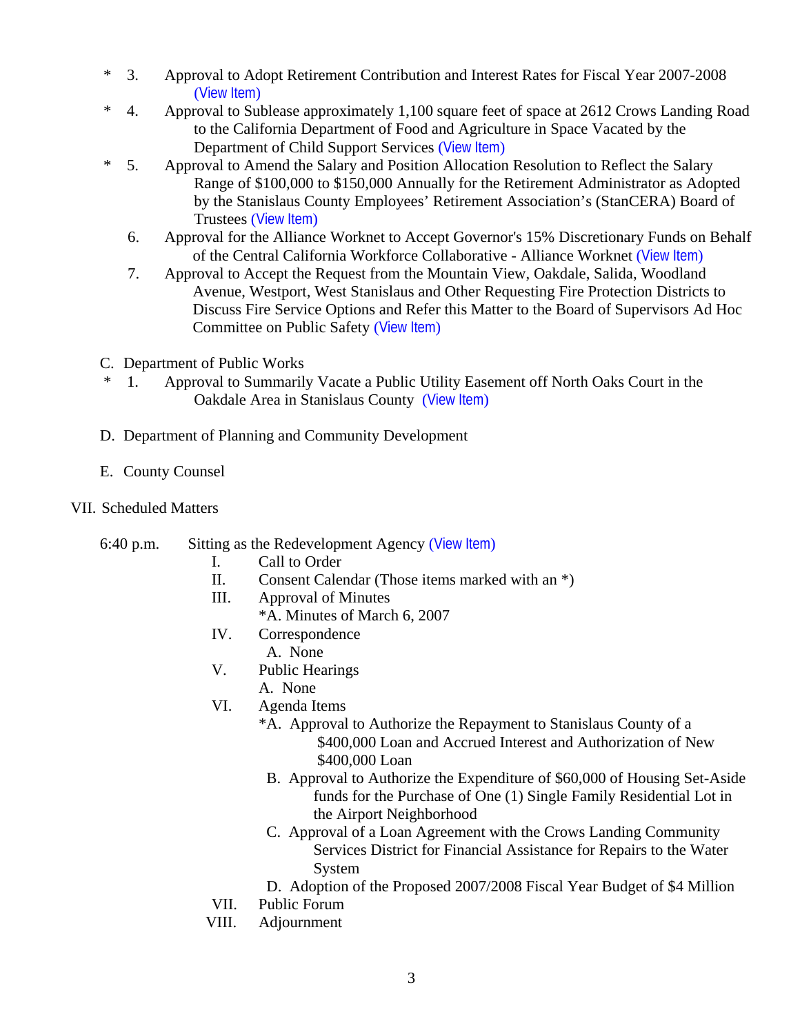- \* 3. Approval to Adopt Retirement Contribution and Interest Rates for Fiscal Year 2007-2008 ([View Item](http://www.co.stanislaus.ca.us/bos/agenda/2007/20070515/B03.pdf))
- \* 4. Approval to Sublease approximately 1,100 square feet of space at 2612 Crows Landing Road to the California Department of Food and Agriculture in Space Vacated by the Department of Child Support Services ([View Item](http://www.co.stanislaus.ca.us/bos/agenda/2007/20070515/B04.pdf))
- \* 5. Approval to Amend the Salary and Position Allocation Resolution to Reflect the Salary Range of \$100,000 to \$150,000 Annually for the Retirement Administrator as Adopted by the Stanislaus County Employees' Retirement Association's (StanCERA) Board of Trustees ([View Item](http://www.co.stanislaus.ca.us/bos/agenda/2007/20070515/B05.pdf))
	- 6. Approval for the Alliance Worknet to Accept Governor's 15% Discretionary Funds on Behalf of the Central California Workforce Collaborative - Alliance Worknet ([View Item](http://www.co.stanislaus.ca.us/bos/agenda/2007/20070515/B06.pdf))
	- 7. Approval to Accept the Request from the Mountain View, Oakdale, Salida, Woodland Avenue, Westport, West Stanislaus and Other Requesting Fire Protection Districts to Discuss Fire Service Options and Refer this Matter to the Board of Supervisors Ad Hoc Committee on Public Safety ([View Item](http://www.co.stanislaus.ca.us/bos/agenda/2007/20070515/B07.pdf))
- C. Department of Public Works
- \* 1. Approval to Summarily Vacate a Public Utility Easement off North Oaks Court in the Oakdale Area in Stanislaus County ([View Item](http://www.co.stanislaus.ca.us/bos/agenda/2007/20070515/C01.pdf))
- D. Department of Planning and Community Development
- E. County Counsel

# VII. Scheduled Matters

6:40 p.m. Sitting as the Redevelopment Agency ([View Item](http://www.co.stanislaus.ca.us/bos/agenda/2007/20070515/PH640.pdf))

- I. Call to Order
- II. Consent Calendar (Those items marked with an \*)
- III. Approval of Minutes
- \*A. Minutes of March 6, 2007<br>IV. Correspondence
- Correspondence A. None
- V. Public Hearings
- A. None
- VI. Agenda Items
	- \*A. Approval to Authorize the Repayment to Stanislaus County of a \$400,000 Loan and Accrued Interest and Authorization of New \$400,000 Loan
	- B. Approval to Authorize the Expenditure of \$60,000 of Housing Set-Aside funds for the Purchase of One (1) Single Family Residential Lot in the Airport Neighborhood
	- C. Approval of a Loan Agreement with the Crows Landing Community Services District for Financial Assistance for Repairs to the Water System
	- D. Adoption of the Proposed 2007/2008 Fiscal Year Budget of \$4 Million
- VII. Public Forum
- VIII. Adjournment